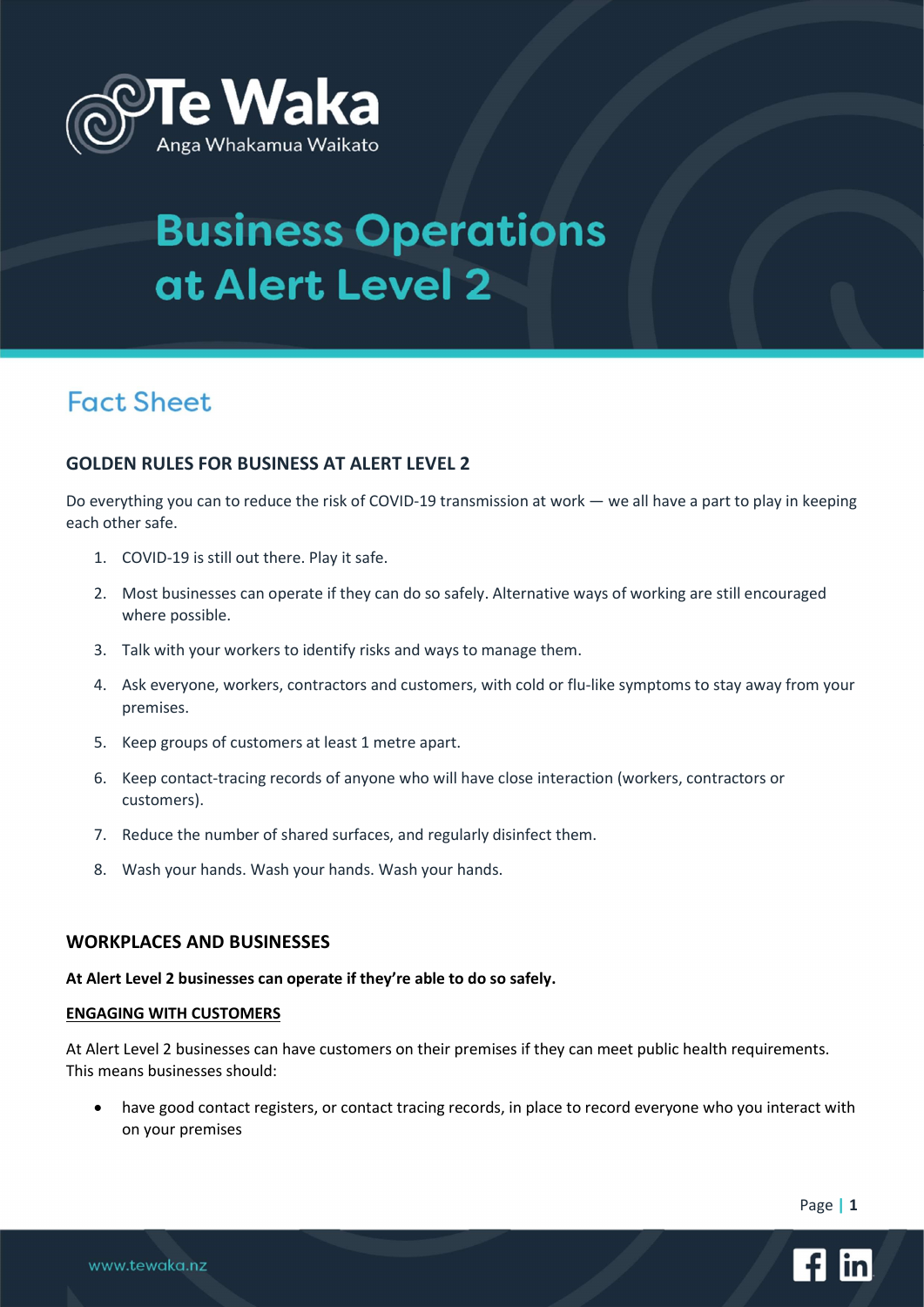

## **Fact Sheet**

### GOLDEN RULES FOR BUSINESS AT ALERT LEVEL 2

Do everything you can to reduce the risk of COVID-19 transmission at work — we all have a part to play in keeping each other safe.

- 1. COVID-19 is still out there. Play it safe.
- 2. Most businesses can operate if they can do so safely. Alternative ways of working are still encouraged where possible.
- 3. Talk with your workers to identify risks and ways to manage them.
- 4. Ask everyone, workers, contractors and customers, with cold or flu-like symptoms to stay away from your premises.
- 5. Keep groups of customers at least 1 metre apart.
- 6. Keep contact-tracing records of anyone who will have close interaction (workers, contractors or customers).
- 7. Reduce the number of shared surfaces, and regularly disinfect them.
- 8. Wash your hands. Wash your hands. Wash your hands.

#### WORKPLACES AND BUSINESSES

#### At Alert Level 2 businesses can operate if they're able to do so safely.

#### ENGAGING WITH CUSTOMERS

At Alert Level 2 businesses can have customers on their premises if they can meet public health requirements. This means businesses should:

 have good contact registers, or contact tracing records, in place to record everyone who you interact with on your premises

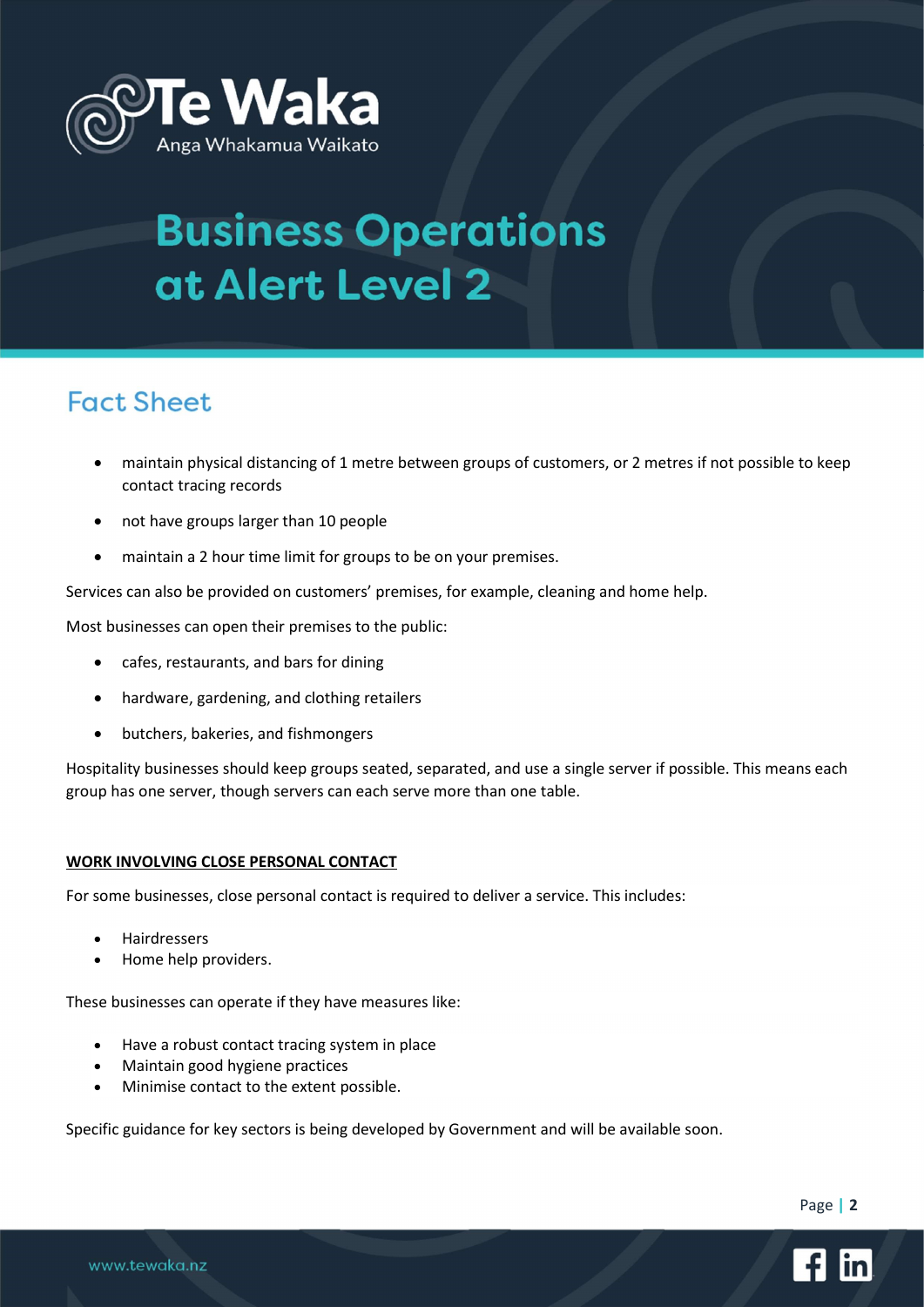

## **Fact Sheet**

- maintain physical distancing of 1 metre between groups of customers, or 2 metres if not possible to keep contact tracing records
- not have groups larger than 10 people
- maintain a 2 hour time limit for groups to be on your premises.

Services can also be provided on customers' premises, for example, cleaning and home help.

Most businesses can open their premises to the public:

- cafes, restaurants, and bars for dining
- hardware, gardening, and clothing retailers
- butchers, bakeries, and fishmongers

Hospitality businesses should keep groups seated, separated, and use a single server if possible. This means each group has one server, though servers can each serve more than one table.

#### WORK INVOLVING CLOSE PERSONAL CONTACT

For some businesses, close personal contact is required to deliver a service. This includes:

- Hairdressers
- Home help providers.

These businesses can operate if they have measures like:

- Have a robust contact tracing system in place
- Maintain good hygiene practices
- Minimise contact to the extent possible.

Specific guidance for key sectors is being developed by Government and will be available soon.

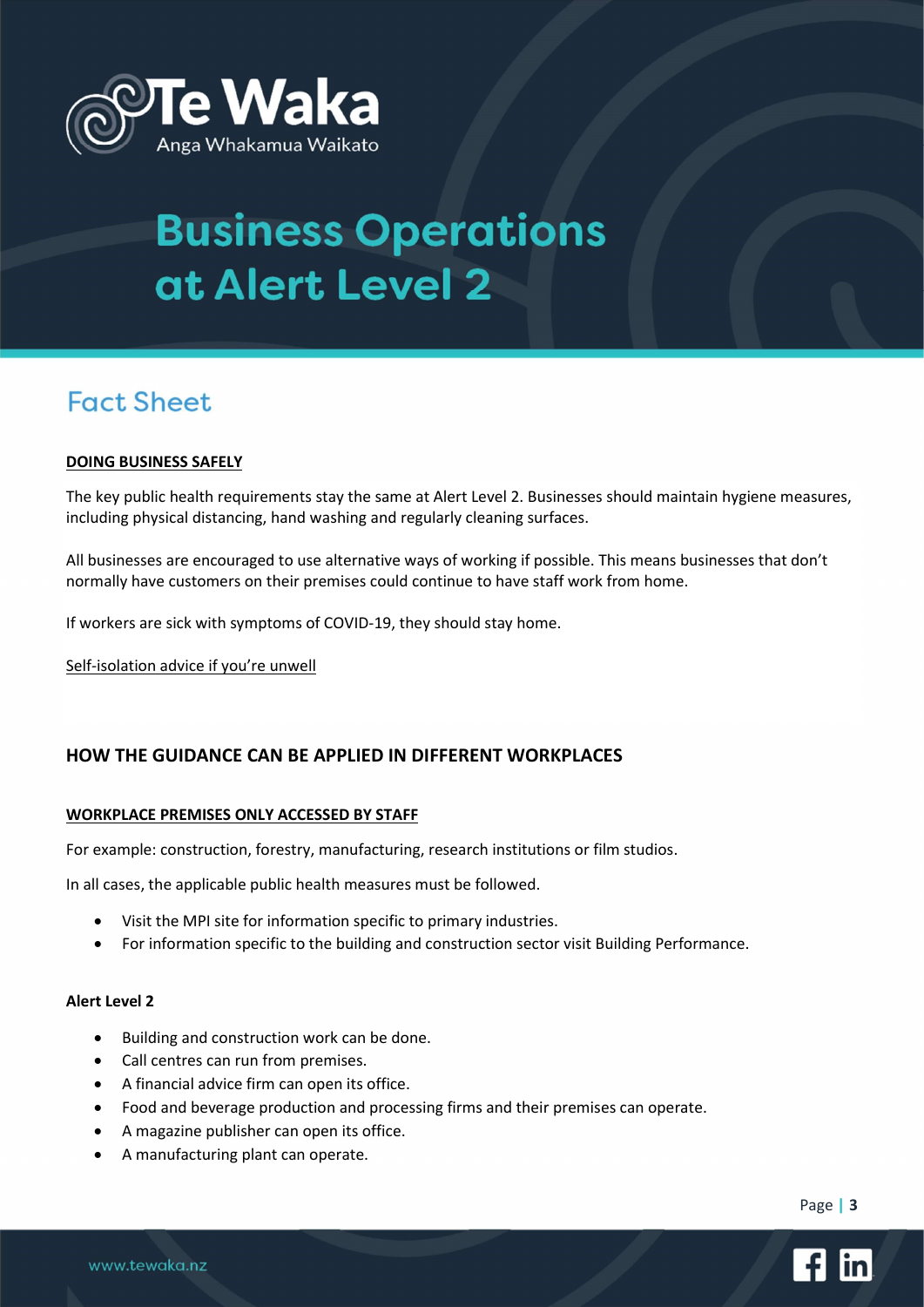

## **Fact Sheet**

#### DOING BUSINESS SAFELY

The key public health requirements stay the same at Alert Level 2. Businesses should maintain hygiene measures, including physical distancing, hand washing and regularly cleaning surfaces.

All businesses are encouraged to use alternative ways of working if possible. This means businesses that don't normally have customers on their premises could continue to have staff work from home.

If workers are sick with symptoms of COVID-19, they should stay home.

Self-isolation advice if you're unwell

### HOW THE GUIDANCE CAN BE APPLIED IN DIFFERENT WORKPLACES

#### WORKPLACE PREMISES ONLY ACCESSED BY STAFF

For example: construction, forestry, manufacturing, research institutions or film studios.

In all cases, the applicable public health measures must be followed.

- Visit the MPI site for information specific to primary industries.
- For information specific to the building and construction sector visit Building Performance.

#### Alert Level 2

- Building and construction work can be done.
- Call centres can run from premises.
- A financial advice firm can open its office.
- Food and beverage production and processing firms and their premises can operate.
- A magazine publisher can open its office.
- A manufacturing plant can operate.

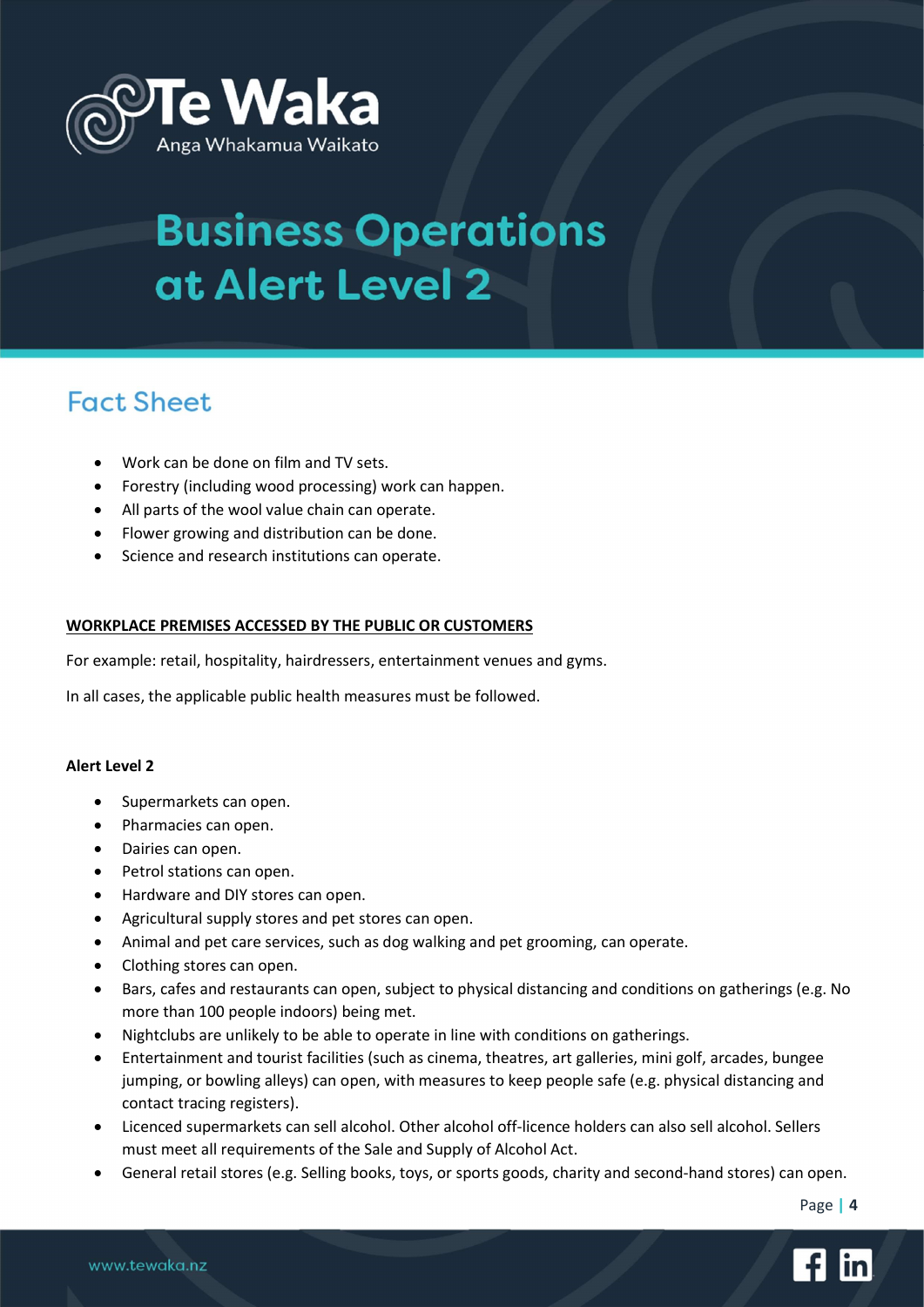

## **Fact Sheet**

- Work can be done on film and TV sets.
- Forestry (including wood processing) work can happen.
- All parts of the wool value chain can operate.
- Flower growing and distribution can be done.
- Science and research institutions can operate.

#### WORKPLACE PREMISES ACCESSED BY THE PUBLIC OR CUSTOMERS

For example: retail, hospitality, hairdressers, entertainment venues and gyms.

In all cases, the applicable public health measures must be followed.

#### Alert Level 2

- Supermarkets can open.
- Pharmacies can open.
- Dairies can open.
- Petrol stations can open.
- Hardware and DIY stores can open.
- Agricultural supply stores and pet stores can open.
- Animal and pet care services, such as dog walking and pet grooming, can operate.
- Clothing stores can open.
- Bars, cafes and restaurants can open, subject to physical distancing and conditions on gatherings (e.g. No more than 100 people indoors) being met.
- Nightclubs are unlikely to be able to operate in line with conditions on gatherings.
- Entertainment and tourist facilities (such as cinema, theatres, art galleries, mini golf, arcades, bungee jumping, or bowling alleys) can open, with measures to keep people safe (e.g. physical distancing and contact tracing registers).
- Licenced supermarkets can sell alcohol. Other alcohol off-licence holders can also sell alcohol. Sellers must meet all requirements of the Sale and Supply of Alcohol Act.
- General retail stores (e.g. Selling books, toys, or sports goods, charity and second-hand stores) can open.

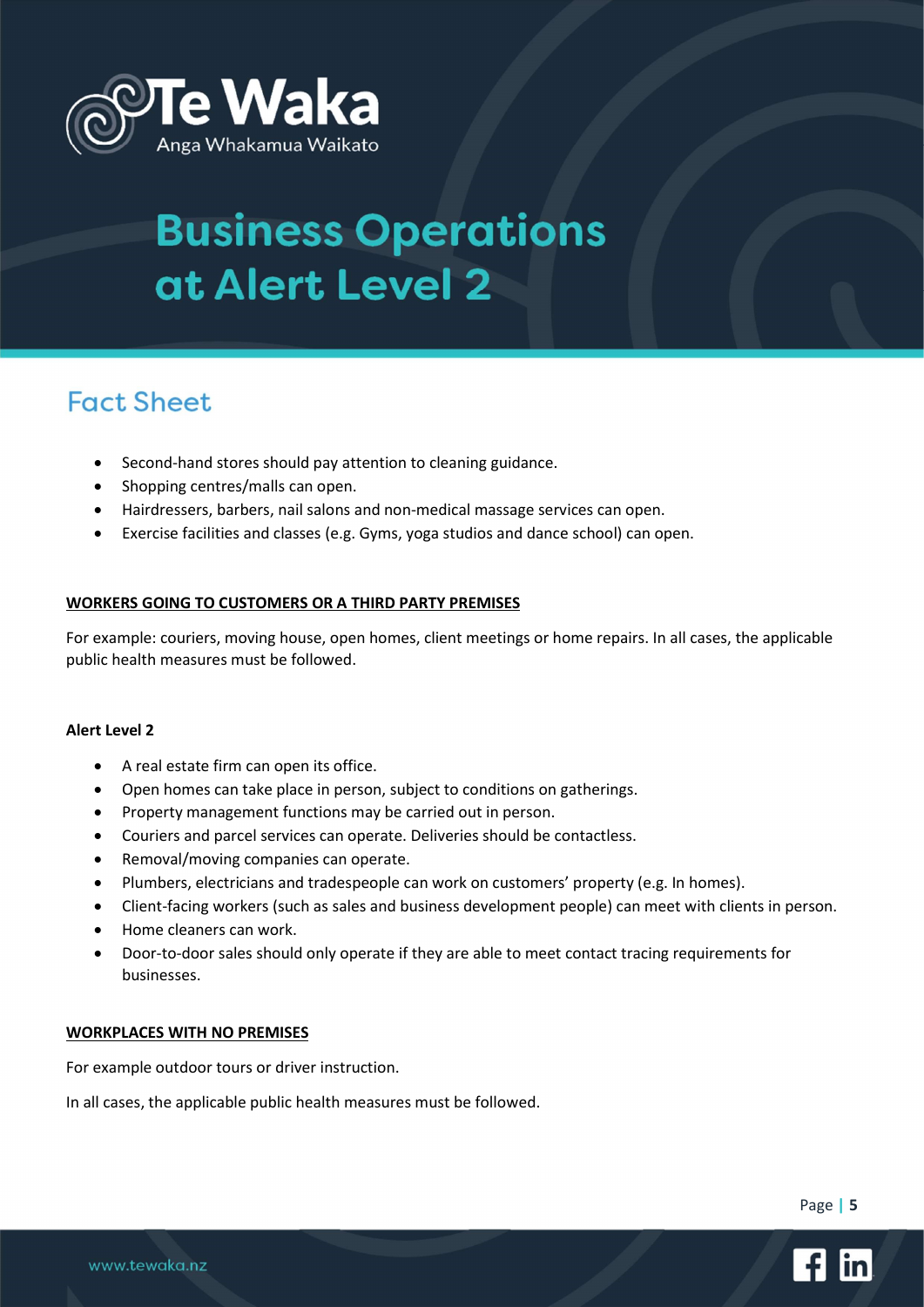

## **Fact Sheet**

- Second-hand stores should pay attention to cleaning guidance.
- Shopping centres/malls can open.
- Hairdressers, barbers, nail salons and non-medical massage services can open.
- Exercise facilities and classes (e.g. Gyms, yoga studios and dance school) can open.

#### WORKERS GOING TO CUSTOMERS OR A THIRD PARTY PREMISES

For example: couriers, moving house, open homes, client meetings or home repairs. In all cases, the applicable public health measures must be followed.

#### Alert Level 2

- A real estate firm can open its office.
- Open homes can take place in person, subject to conditions on gatherings.
- Property management functions may be carried out in person.
- Couriers and parcel services can operate. Deliveries should be contactless.
- Removal/moving companies can operate.
- Plumbers, electricians and tradespeople can work on customers' property (e.g. In homes).
- Client-facing workers (such as sales and business development people) can meet with clients in person.
- Home cleaners can work.
- Door-to-door sales should only operate if they are able to meet contact tracing requirements for businesses.

#### WORKPLACES WITH NO PREMISES

For example outdoor tours or driver instruction.

In all cases, the applicable public health measures must be followed.

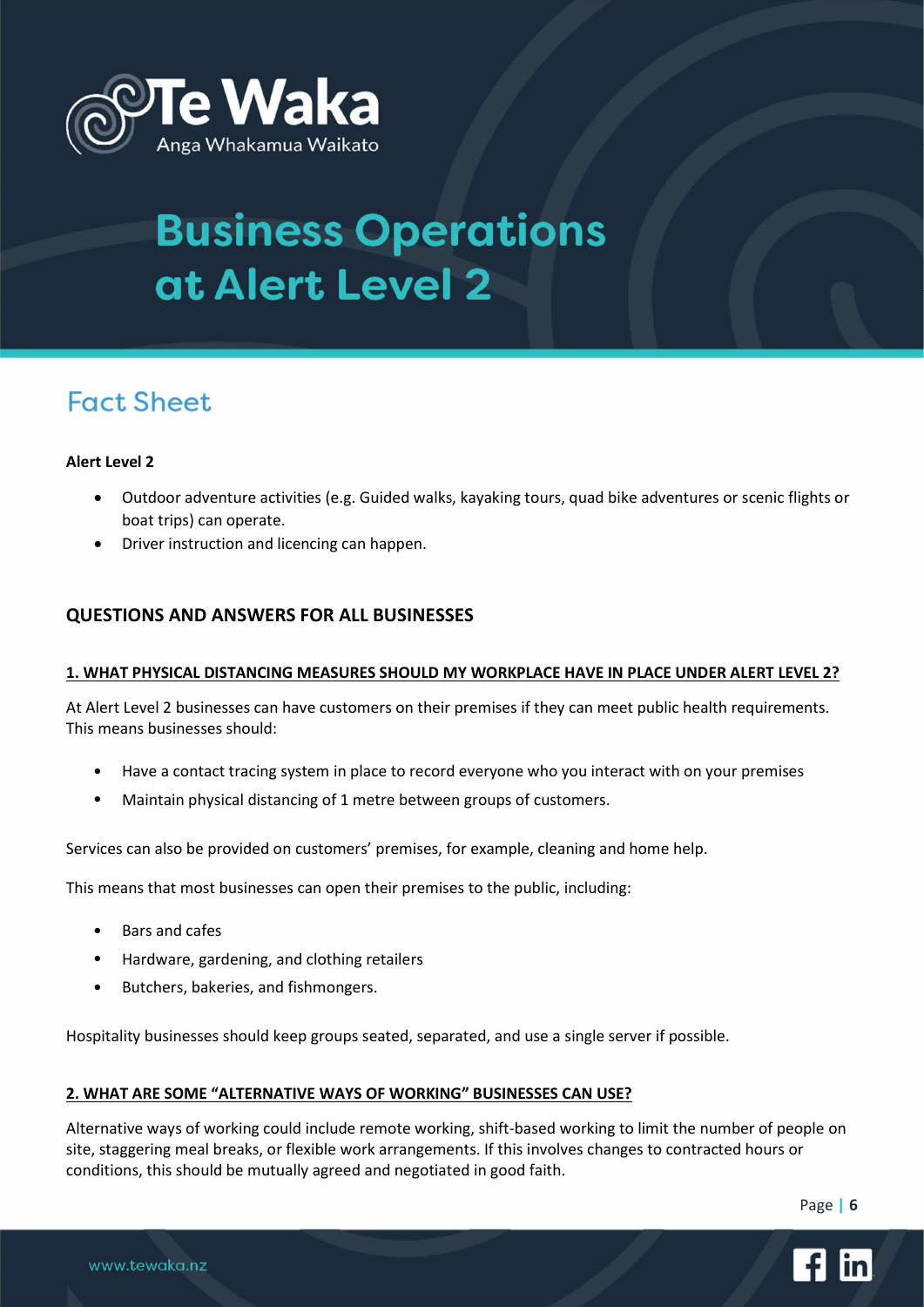

## **Fact Sheet**

#### Alert Level 2

- Outdoor adventure activities (e.g. Guided walks, kayaking tours, quad bike adventures or scenic flights or boat trips) can operate.
- Driver instruction and licencing can happen.

### QUESTIONS AND ANSWERS FOR ALL BUSINESSES

#### 1. WHAT PHYSICAL DISTANCING MEASURES SHOULD MY WORKPLACE HAVE IN PLACE UNDER ALERT LEVEL 2?

At Alert Level 2 businesses can have customers on their premises if they can meet public health requirements. This means businesses should:

- Have a contact tracing system in place to record everyone who you interact with on your premises
- Maintain physical distancing of 1 metre between groups of customers.

Services can also be provided on customers' premises, for example, cleaning and home help.

This means that most businesses can open their premises to the public, including:

- Bars and cafes
- Hardware, gardening, and clothing retailers
- Butchers, bakeries, and fishmongers.

Hospitality businesses should keep groups seated, separated, and use a single server if possible.

#### 2. WHAT ARE SOME "ALTERNATIVE WAYS OF WORKING" BUSINESSES CAN USE?

Alternative ways of working could include remote working, shift-based working to limit the number of people on site, staggering meal breaks, or flexible work arrangements. If this involves changes to contracted hours or conditions, this should be mutually agreed and negotiated in good faith.

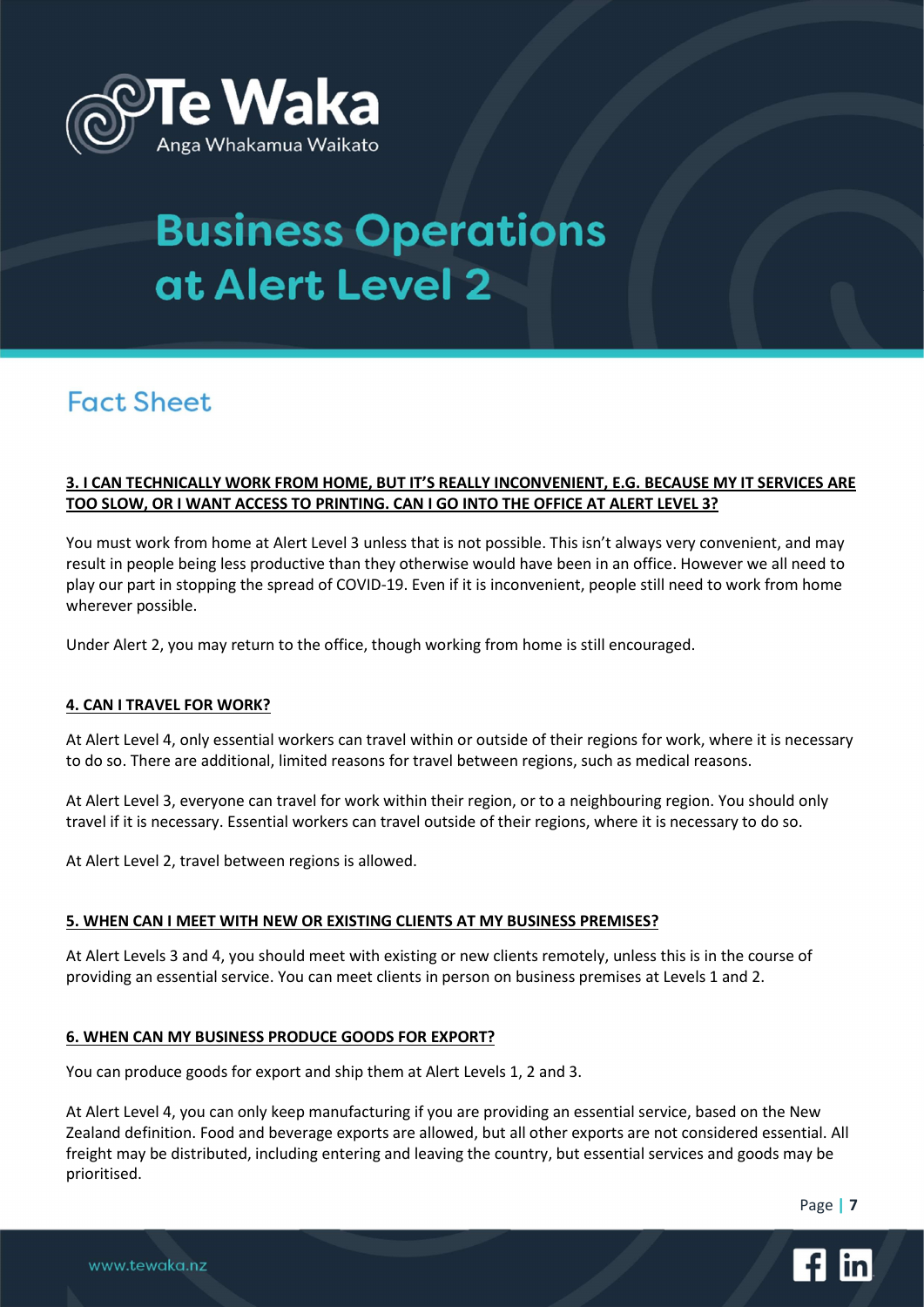

## **Fact Sheet**

#### 3. I CAN TECHNICALLY WORK FROM HOME, BUT IT'S REALLY INCONVENIENT, E.G. BECAUSE MY IT SERVICES ARE TOO SLOW, OR I WANT ACCESS TO PRINTING. CAN I GO INTO THE OFFICE AT ALERT LEVEL 3?

You must work from home at Alert Level 3 unless that is not possible. This isn't always very convenient, and may result in people being less productive than they otherwise would have been in an office. However we all need to play our part in stopping the spread of COVID-19. Even if it is inconvenient, people still need to work from home wherever possible.

Under Alert 2, you may return to the office, though working from home is still encouraged.

#### 4. CAN I TRAVEL FOR WORK?

At Alert Level 4, only essential workers can travel within or outside of their regions for work, where it is necessary to do so. There are additional, limited reasons for travel between regions, such as medical reasons.

At Alert Level 3, everyone can travel for work within their region, or to a neighbouring region. You should only travel if it is necessary. Essential workers can travel outside of their regions, where it is necessary to do so.

At Alert Level 2, travel between regions is allowed.

#### 5. WHEN CAN I MEET WITH NEW OR EXISTING CLIENTS AT MY BUSINESS PREMISES?

At Alert Levels 3 and 4, you should meet with existing or new clients remotely, unless this is in the course of providing an essential service. You can meet clients in person on business premises at Levels 1 and 2.

#### 6. WHEN CAN MY BUSINESS PRODUCE GOODS FOR EXPORT?

You can produce goods for export and ship them at Alert Levels 1, 2 and 3.

At Alert Level 4, you can only keep manufacturing if you are providing an essential service, based on the New Zealand definition. Food and beverage exports are allowed, but all other exports are not considered essential. All freight may be distributed, including entering and leaving the country, but essential services and goods may be prioritised.

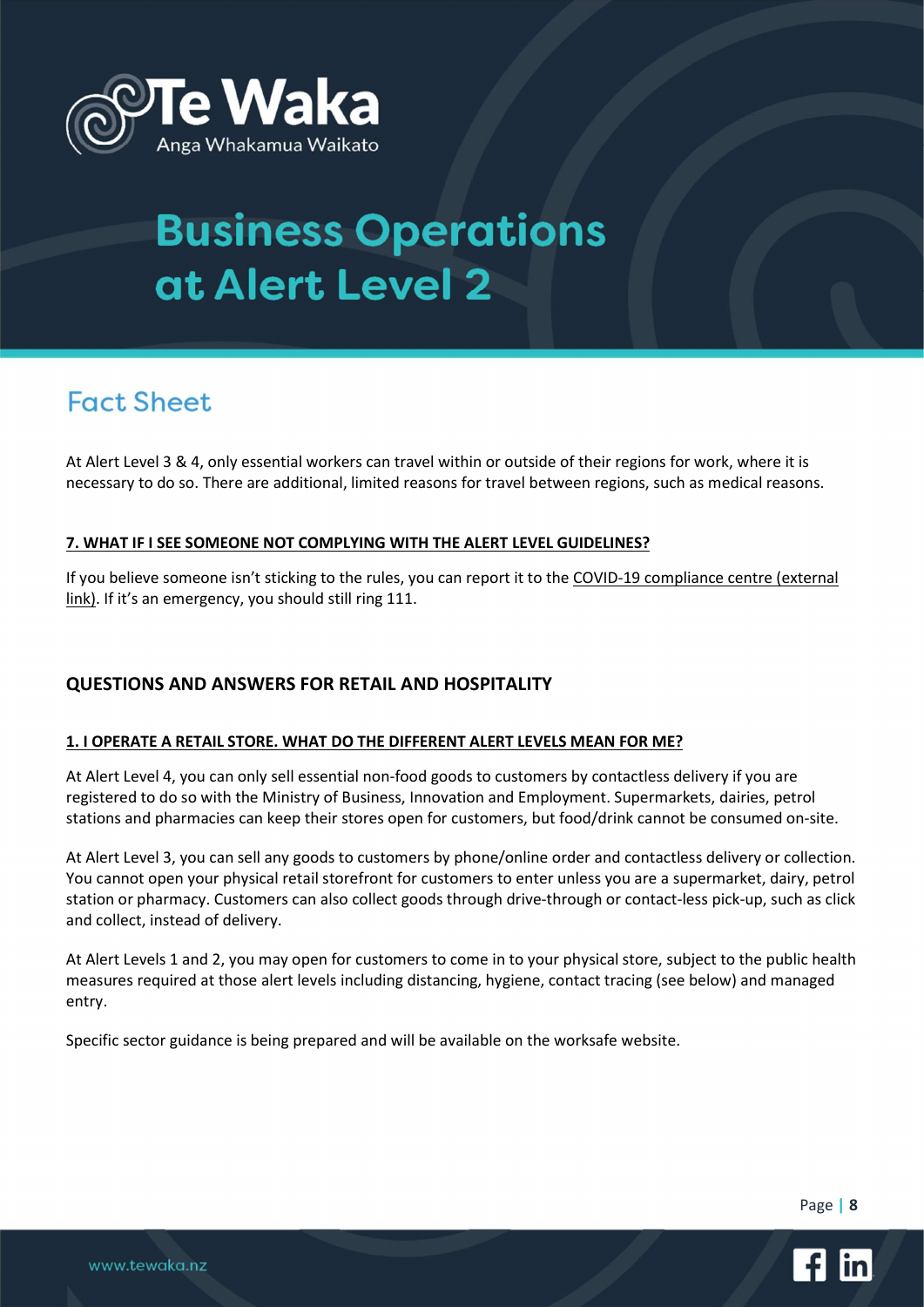

## **Fact Sheet**

At Alert Level 3 & 4, only essential workers can travel within or outside of their regions for work, where it is necessary to do so. There are additional, limited reasons for travel between regions, such as medical reasons.

### 7. WHAT IF I SEE SOMEONE NOT COMPLYING WITH THE ALERT LEVEL GUIDELINES?

If you believe someone isn't sticking to the rules, you can report it to the COVID-19 compliance centre (external link). If it's an emergency, you should still ring 111.

### QUESTIONS AND ANSWERS FOR RETAIL AND HOSPITALITY

#### 1. I OPERATE A RETAIL STORE. WHAT DO THE DIFFERENT ALERT LEVELS MEAN FOR ME?

At Alert Level 4, you can only sell essential non-food goods to customers by contactless delivery if you are registered to do so with the Ministry of Business, Innovation and Employment. Supermarkets, dairies, petrol stations and pharmacies can keep their stores open for customers, but food/drink cannot be consumed on-site.

At Alert Level 3, you can sell any goods to customers by phone/online order and contactless delivery or collection. You cannot open your physical retail storefront for customers to enter unless you are a supermarket, dairy, petrol station or pharmacy. Customers can also collect goods through drive-through or contact-less pick-up, such as click and collect, instead of delivery.

At Alert Levels 1 and 2, you may open for customers to come in to your physical store, subject to the public health measures required at those alert levels including distancing, hygiene, contact tracing (see below) and managed entry.

Specific sector guidance is being prepared and will be available on the worksafe website.



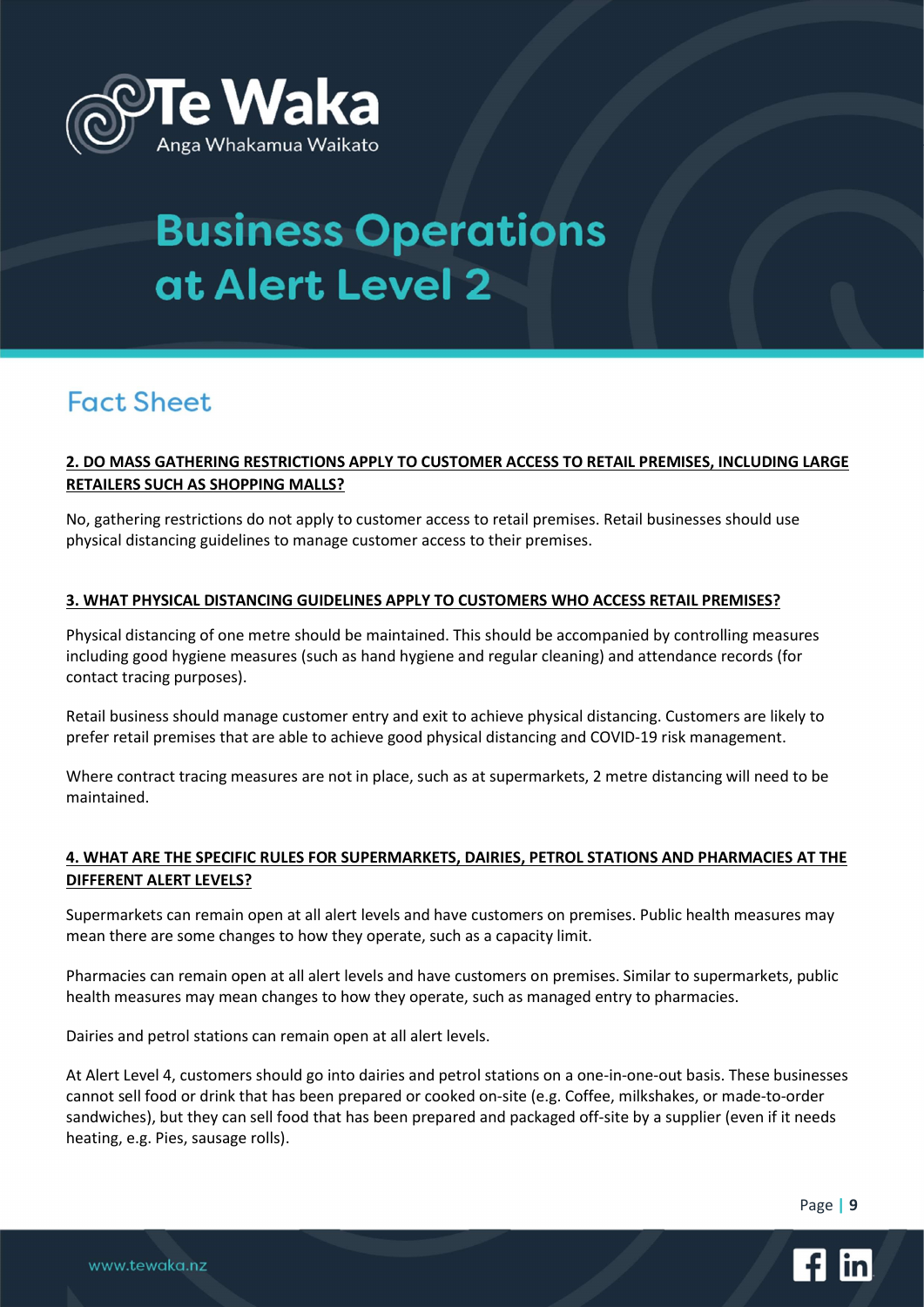

## **Fact Sheet**

#### 2. DO MASS GATHERING RESTRICTIONS APPLY TO CUSTOMER ACCESS TO RETAIL PREMISES, INCLUDING LARGE RETAILERS SUCH AS SHOPPING MALLS?

No, gathering restrictions do not apply to customer access to retail premises. Retail businesses should use physical distancing guidelines to manage customer access to their premises.

#### 3. WHAT PHYSICAL DISTANCING GUIDELINES APPLY TO CUSTOMERS WHO ACCESS RETAIL PREMISES?

Physical distancing of one metre should be maintained. This should be accompanied by controlling measures including good hygiene measures (such as hand hygiene and regular cleaning) and attendance records (for contact tracing purposes).

Retail business should manage customer entry and exit to achieve physical distancing. Customers are likely to prefer retail premises that are able to achieve good physical distancing and COVID-19 risk management.

Where contract tracing measures are not in place, such as at supermarkets, 2 metre distancing will need to be maintained.

#### 4. WHAT ARE THE SPECIFIC RULES FOR SUPERMARKETS, DAIRIES, PETROL STATIONS AND PHARMACIES AT THE DIFFERENT ALERT LEVELS?

Supermarkets can remain open at all alert levels and have customers on premises. Public health measures may mean there are some changes to how they operate, such as a capacity limit.

Pharmacies can remain open at all alert levels and have customers on premises. Similar to supermarkets, public health measures may mean changes to how they operate, such as managed entry to pharmacies.

Dairies and petrol stations can remain open at all alert levels.

At Alert Level 4, customers should go into dairies and petrol stations on a one-in-one-out basis. These businesses cannot sell food or drink that has been prepared or cooked on-site (e.g. Coffee, milkshakes, or made-to-order sandwiches), but they can sell food that has been prepared and packaged off-site by a supplier (even if it needs heating, e.g. Pies, sausage rolls).

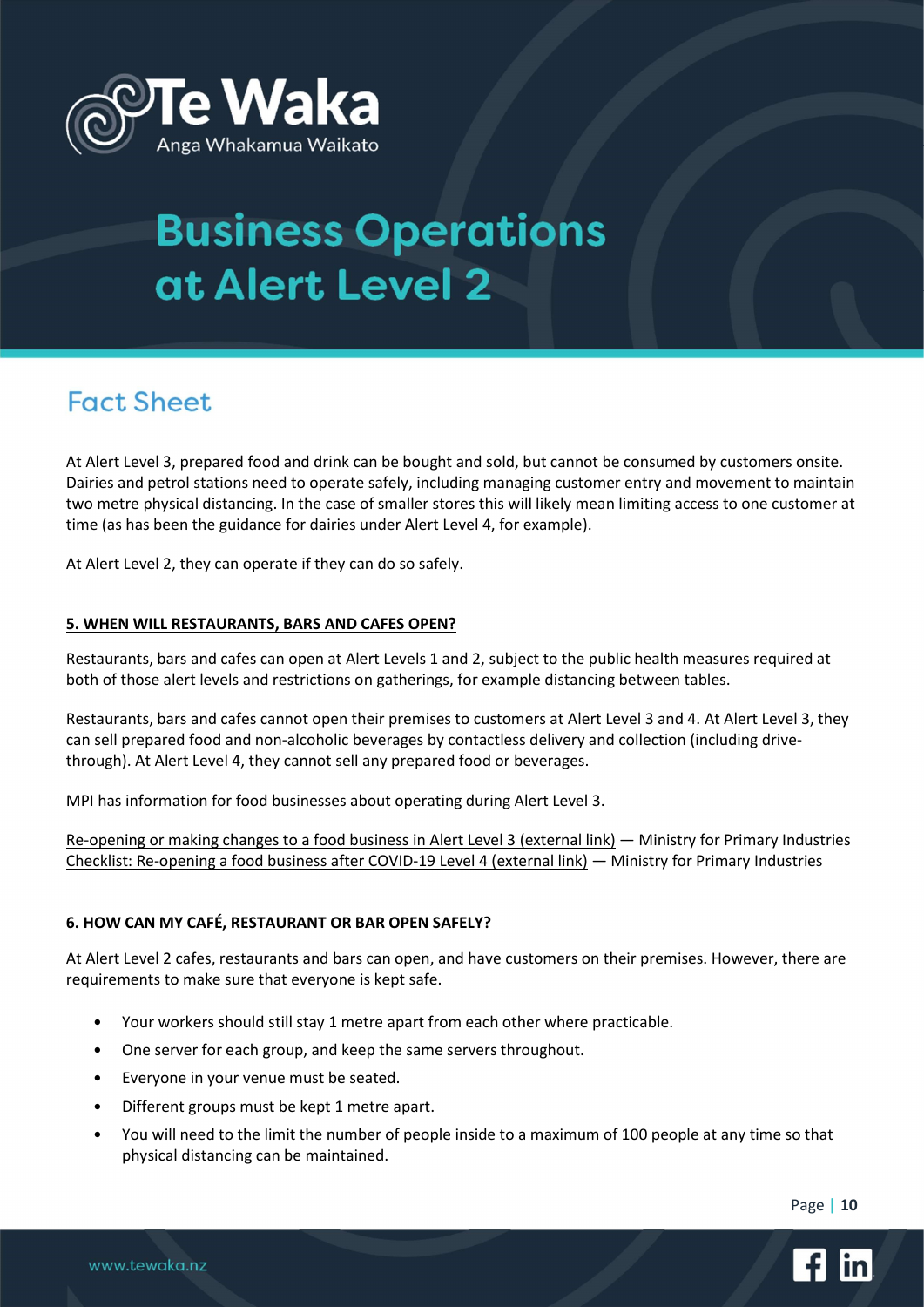

## **Fact Sheet**

At Alert Level 3, prepared food and drink can be bought and sold, but cannot be consumed by customers onsite. Dairies and petrol stations need to operate safely, including managing customer entry and movement to maintain two metre physical distancing. In the case of smaller stores this will likely mean limiting access to one customer at time (as has been the guidance for dairies under Alert Level 4, for example).

At Alert Level 2, they can operate if they can do so safely.

#### 5. WHEN WILL RESTAURANTS, BARS AND CAFES OPEN?

Restaurants, bars and cafes can open at Alert Levels 1 and 2, subject to the public health measures required at both of those alert levels and restrictions on gatherings, for example distancing between tables.

Restaurants, bars and cafes cannot open their premises to customers at Alert Level 3 and 4. At Alert Level 3, they can sell prepared food and non-alcoholic beverages by contactless delivery and collection (including drivethrough). At Alert Level 4, they cannot sell any prepared food or beverages.

MPI has information for food businesses about operating during Alert Level 3.

Re-opening or making changes to a food business in Alert Level 3 (external link) — Ministry for Primary Industries Checklist: Re-opening a food business after COVID-19 Level 4 (external link) — Ministry for Primary Industries

#### 6. HOW CAN MY CAFÉ, RESTAURANT OR BAR OPEN SAFELY?

At Alert Level 2 cafes, restaurants and bars can open, and have customers on their premises. However, there are requirements to make sure that everyone is kept safe.

- Your workers should still stay 1 metre apart from each other where practicable.
- One server for each group, and keep the same servers throughout.
- Everyone in your venue must be seated.
- Different groups must be kept 1 metre apart.
- You will need to the limit the number of people inside to a maximum of 100 people at any time so that physical distancing can be maintained.

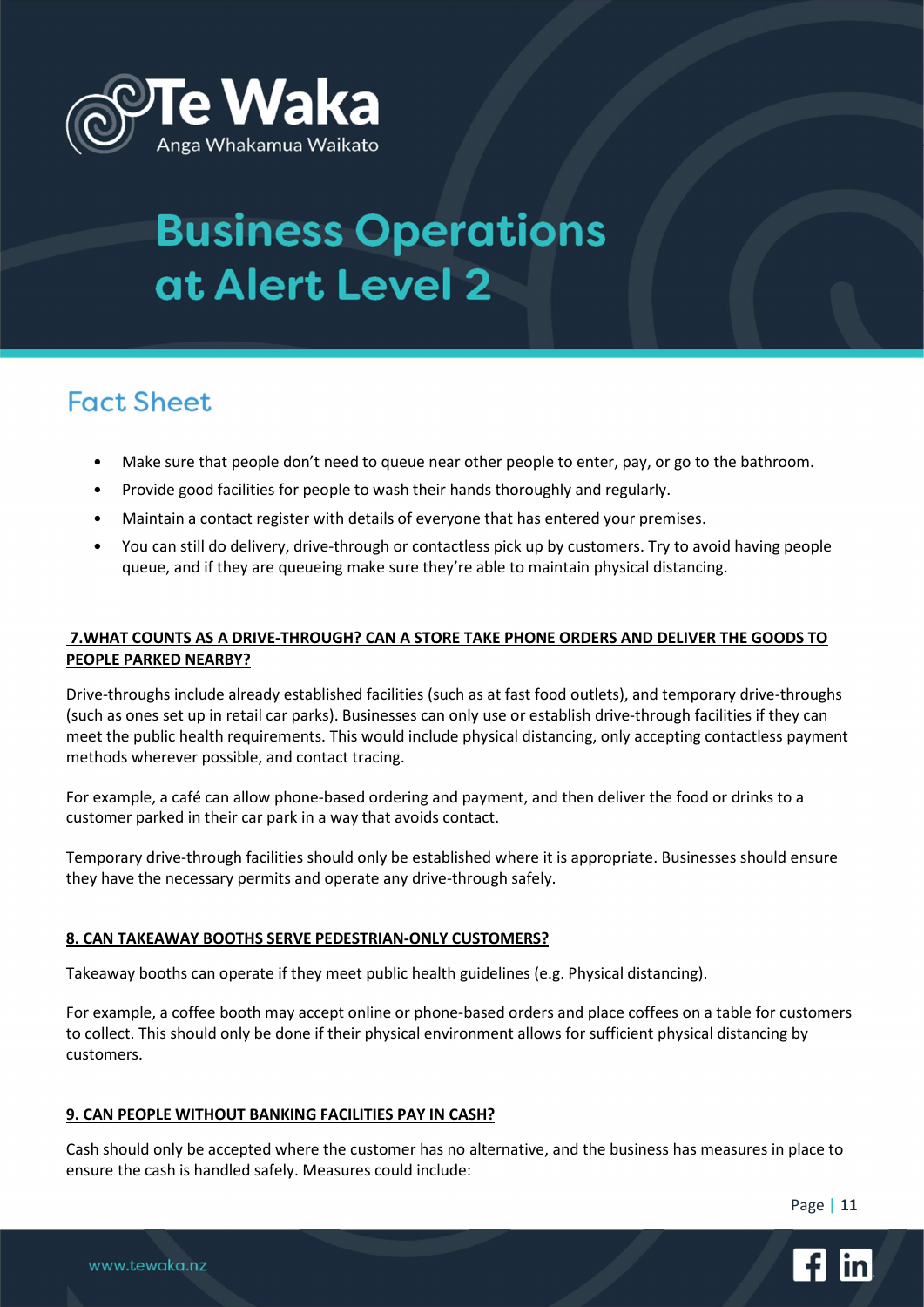

## **Fact Sheet**

- Make sure that people don't need to queue near other people to enter, pay, or go to the bathroom.
- Provide good facilities for people to wash their hands thoroughly and regularly.
- Maintain a contact register with details of everyone that has entered your premises.
- You can still do delivery, drive-through or contactless pick up by customers. Try to avoid having people queue, and if they are queueing make sure they're able to maintain physical distancing.

#### 7.WHAT COUNTS AS A DRIVE-THROUGH? CAN A STORE TAKE PHONE ORDERS AND DELIVER THE GOODS TO PEOPLE PARKED NEARBY?

Drive-throughs include already established facilities (such as at fast food outlets), and temporary drive-throughs (such as ones set up in retail car parks). Businesses can only use or establish drive-through facilities if they can meet the public health requirements. This would include physical distancing, only accepting contactless payment methods wherever possible, and contact tracing.

For example, a café can allow phone-based ordering and payment, and then deliver the food or drinks to a customer parked in their car park in a way that avoids contact.

Temporary drive-through facilities should only be established where it is appropriate. Businesses should ensure they have the necessary permits and operate any drive-through safely.

#### 8. CAN TAKEAWAY BOOTHS SERVE PEDESTRIAN-ONLY CUSTOMERS?

Takeaway booths can operate if they meet public health guidelines (e.g. Physical distancing).

For example, a coffee booth may accept online or phone-based orders and place coffees on a table for customers to collect. This should only be done if their physical environment allows for sufficient physical distancing by customers.

#### 9. CAN PEOPLE WITHOUT BANKING FACILITIES PAY IN CASH?

Cash should only be accepted where the customer has no alternative, and the business has measures in place to ensure the cash is handled safely. Measures could include:

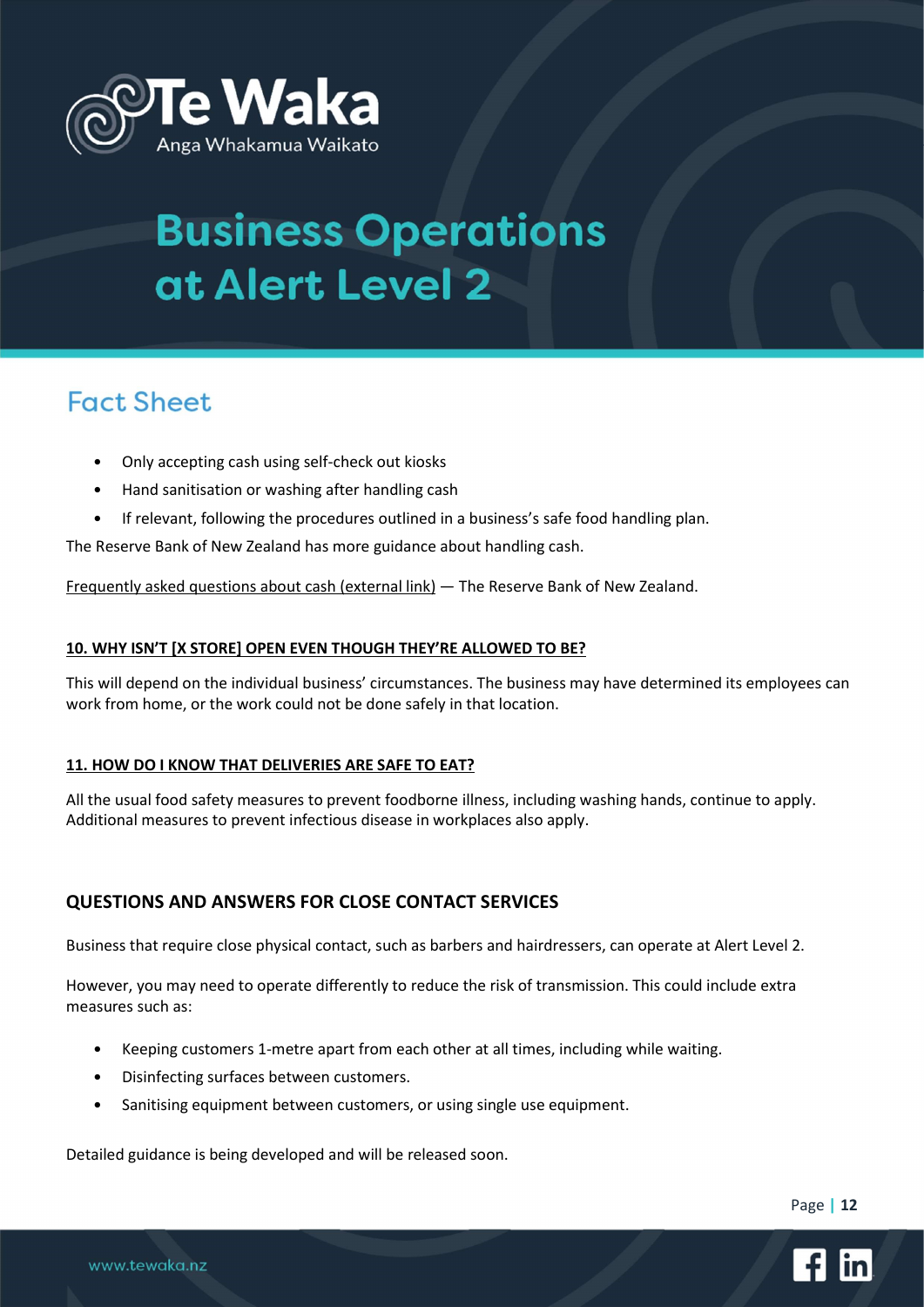

## **Fact Sheet**

- Only accepting cash using self-check out kiosks
- Hand sanitisation or washing after handling cash
- If relevant, following the procedures outlined in a business's safe food handling plan.

The Reserve Bank of New Zealand has more guidance about handling cash.

Frequently asked questions about cash (external link) — The Reserve Bank of New Zealand.

#### 10. WHY ISN'T [X STORE] OPEN EVEN THOUGH THEY'RE ALLOWED TO BE?

This will depend on the individual business' circumstances. The business may have determined its employees can work from home, or the work could not be done safely in that location.

#### 11. HOW DO I KNOW THAT DELIVERIES ARE SAFE TO EAT?

All the usual food safety measures to prevent foodborne illness, including washing hands, continue to apply. Additional measures to prevent infectious disease in workplaces also apply.

### QUESTIONS AND ANSWERS FOR CLOSE CONTACT SERVICES

Business that require close physical contact, such as barbers and hairdressers, can operate at Alert Level 2.

However, you may need to operate differently to reduce the risk of transmission. This could include extra measures such as:

- Keeping customers 1-metre apart from each other at all times, including while waiting.
- Disinfecting surfaces between customers.

www.tewaka.nz

Sanitising equipment between customers, or using single use equipment.

Detailed guidance is being developed and will be released soon.



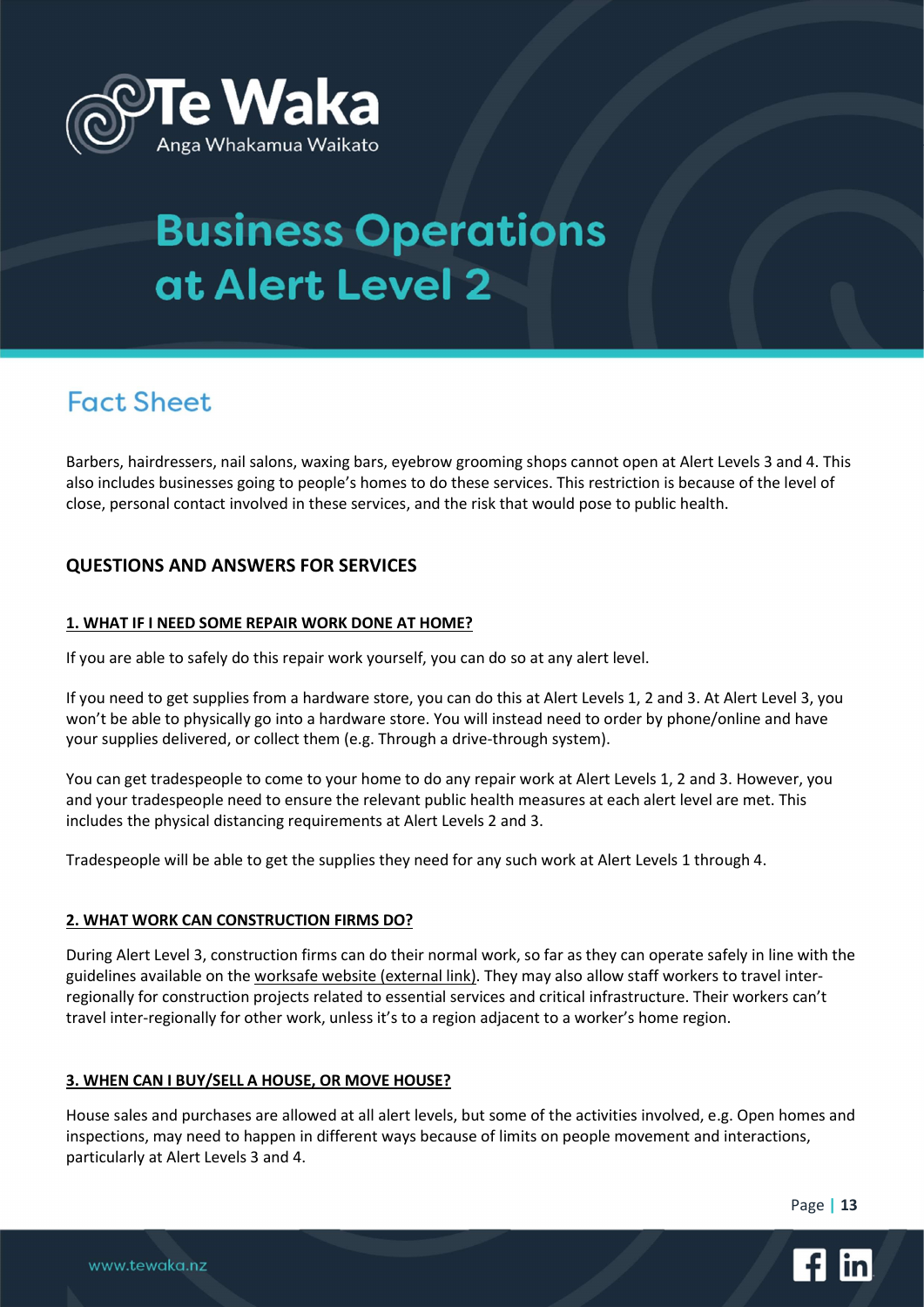

## **Fact Sheet**

Barbers, hairdressers, nail salons, waxing bars, eyebrow grooming shops cannot open at Alert Levels 3 and 4. This also includes businesses going to people's homes to do these services. This restriction is because of the level of close, personal contact involved in these services, and the risk that would pose to public health.

### QUESTIONS AND ANSWERS FOR SERVICES

#### 1. WHAT IF I NEED SOME REPAIR WORK DONE AT HOME?

If you are able to safely do this repair work yourself, you can do so at any alert level.

If you need to get supplies from a hardware store, you can do this at Alert Levels 1, 2 and 3. At Alert Level 3, you won't be able to physically go into a hardware store. You will instead need to order by phone/online and have your supplies delivered, or collect them (e.g. Through a drive-through system).

You can get tradespeople to come to your home to do any repair work at Alert Levels 1, 2 and 3. However, you and your tradespeople need to ensure the relevant public health measures at each alert level are met. This includes the physical distancing requirements at Alert Levels 2 and 3.

Tradespeople will be able to get the supplies they need for any such work at Alert Levels 1 through 4.

#### 2. WHAT WORK CAN CONSTRUCTION FIRMS DO?

During Alert Level 3, construction firms can do their normal work, so far as they can operate safely in line with the guidelines available on the worksafe website (external link). They may also allow staff workers to travel interregionally for construction projects related to essential services and critical infrastructure. Their workers can't travel inter-regionally for other work, unless it's to a region adjacent to a worker's home region.

#### 3. WHEN CAN I BUY/SELL A HOUSE, OR MOVE HOUSE?

House sales and purchases are allowed at all alert levels, but some of the activities involved, e.g. Open homes and inspections, may need to happen in different ways because of limits on people movement and interactions, particularly at Alert Levels 3 and 4.

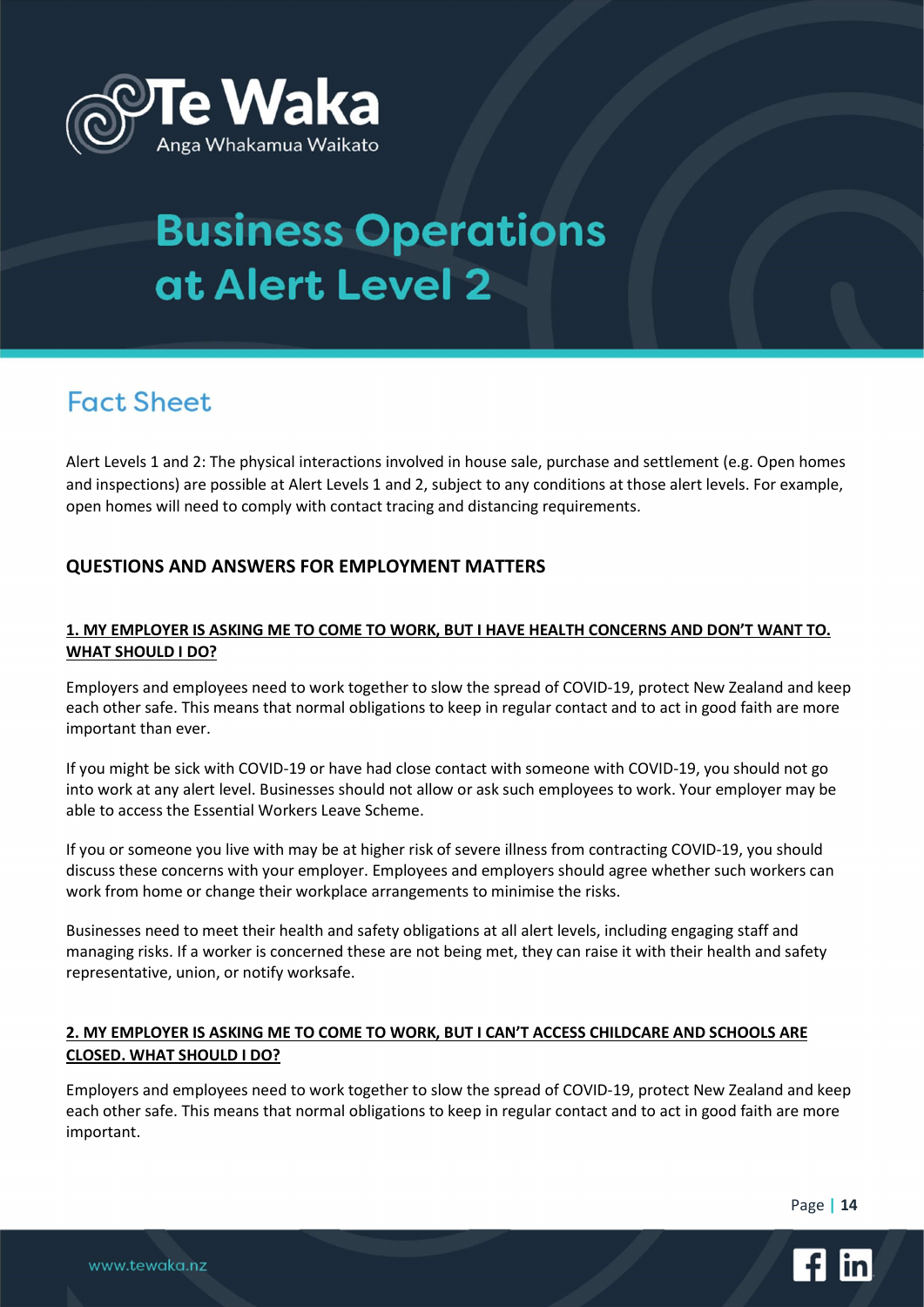

## **Fact Sheet**

Alert Levels 1 and 2: The physical interactions involved in house sale, purchase and settlement (e.g. Open homes and inspections) are possible at Alert Levels 1 and 2, subject to any conditions at those alert levels. For example, open homes will need to comply with contact tracing and distancing requirements.

### QUESTIONS AND ANSWERS FOR EMPLOYMENT MATTERS

### 1. MY EMPLOYER IS ASKING ME TO COME TO WORK, BUT I HAVE HEALTH CONCERNS AND DON'T WANT TO. WHAT SHOULD I DO?

Employers and employees need to work together to slow the spread of COVID-19, protect New Zealand and keep each other safe. This means that normal obligations to keep in regular contact and to act in good faith are more important than ever.

If you might be sick with COVID-19 or have had close contact with someone with COVID-19, you should not go into work at any alert level. Businesses should not allow or ask such employees to work. Your employer may be able to access the Essential Workers Leave Scheme.

If you or someone you live with may be at higher risk of severe illness from contracting COVID-19, you should discuss these concerns with your employer. Employees and employers should agree whether such workers can work from home or change their workplace arrangements to minimise the risks.

Businesses need to meet their health and safety obligations at all alert levels, including engaging staff and managing risks. If a worker is concerned these are not being met, they can raise it with their health and safety representative, union, or notify worksafe.

### 2. MY EMPLOYER IS ASKING ME TO COME TO WORK, BUT I CAN'T ACCESS CHILDCARE AND SCHOOLS ARE CLOSED. WHAT SHOULD I DO?

Employers and employees need to work together to slow the spread of COVID-19, protect New Zealand and keep each other safe. This means that normal obligations to keep in regular contact and to act in good faith are more important.

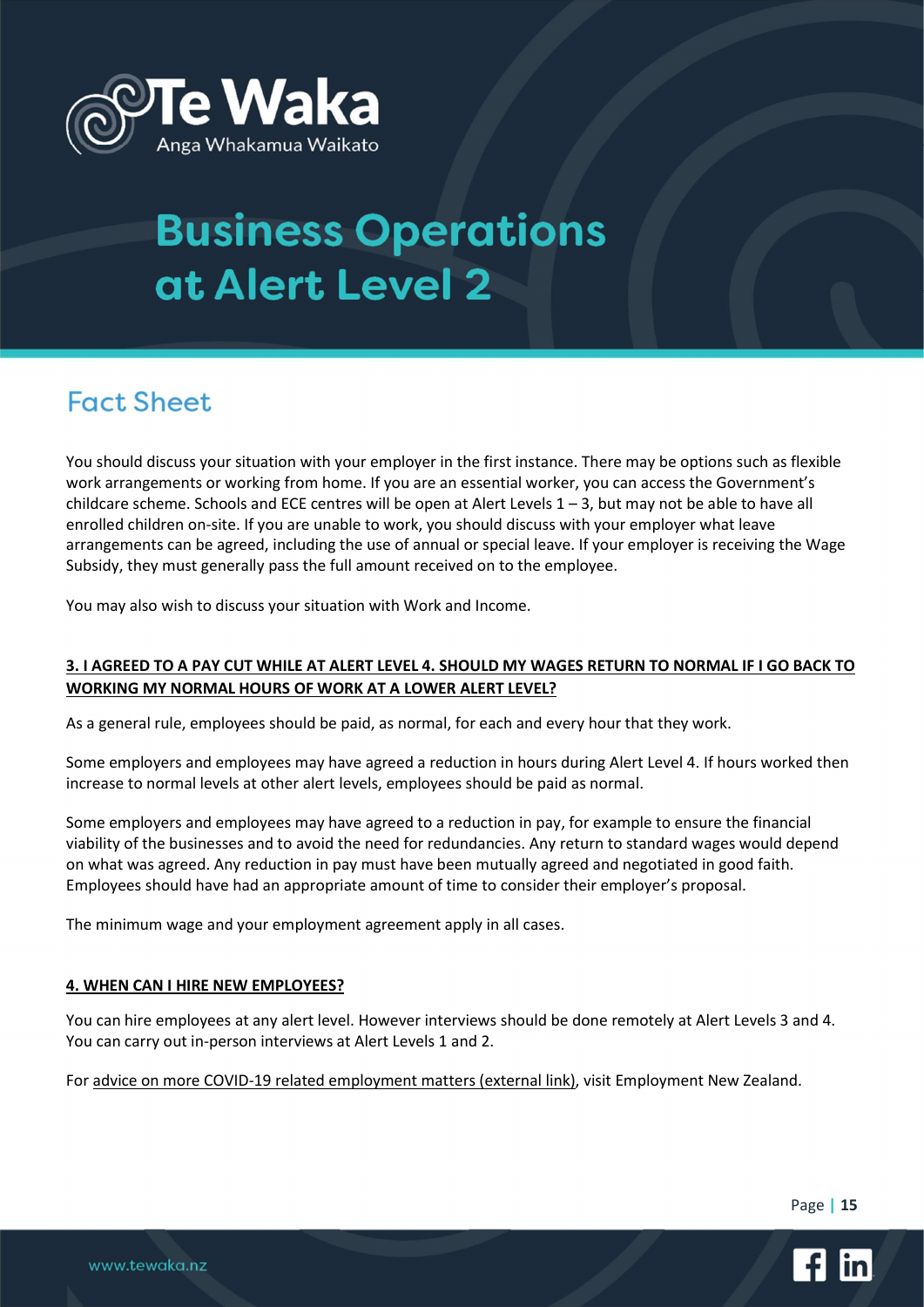

## **Fact Sheet**

You should discuss your situation with your employer in the first instance. There may be options such as flexible work arrangements or working from home. If you are an essential worker, you can access the Government's childcare scheme. Schools and ECE centres will be open at Alert Levels 1 – 3, but may not be able to have all enrolled children on-site. If you are unable to work, you should discuss with your employer what leave arrangements can be agreed, including the use of annual or special leave. If your employer is receiving the Wage Subsidy, they must generally pass the full amount received on to the employee.

You may also wish to discuss your situation with Work and Income.

### 3. I AGREED TO A PAY CUT WHILE AT ALERT LEVEL 4. SHOULD MY WAGES RETURN TO NORMAL IF I GO BACK TO WORKING MY NORMAL HOURS OF WORK AT A LOWER ALERT LEVEL?

As a general rule, employees should be paid, as normal, for each and every hour that they work.

Some employers and employees may have agreed a reduction in hours during Alert Level 4. If hours worked then increase to normal levels at other alert levels, employees should be paid as normal.

Some employers and employees may have agreed to a reduction in pay, for example to ensure the financial viability of the businesses and to avoid the need for redundancies. Any return to standard wages would depend on what was agreed. Any reduction in pay must have been mutually agreed and negotiated in good faith. Employees should have had an appropriate amount of time to consider their employer's proposal.

The minimum wage and your employment agreement apply in all cases.

#### 4. WHEN CAN I HIRE NEW EMPLOYEES?

You can hire employees at any alert level. However interviews should be done remotely at Alert Levels 3 and 4. You can carry out in-person interviews at Alert Levels 1 and 2.

For advice on more COVID-19 related employment matters (external link), visit Employment New Zealand.